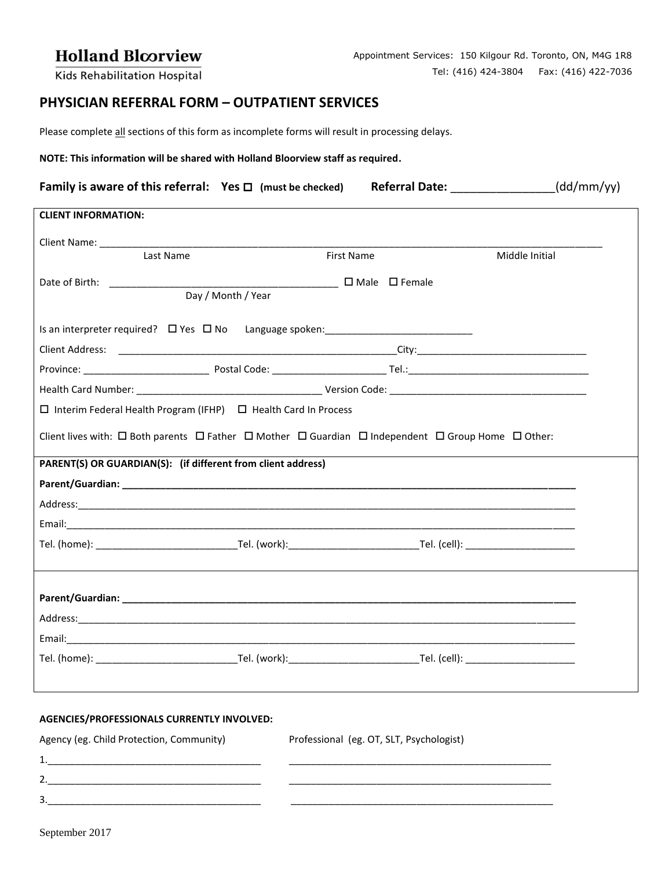## **Holland Bloorview**

Kids Rehabilitation Hospital

## **PHYSICIAN REFERRAL FORM – OUTPATIENT SERVICES**

Please complete all sections of this form as incomplete forms will result in processing delays.

**NOTE: This information will be shared with Holland Bloorview staff as required.**

| <b>Family is aware of this referral:</b> Yes $\Box$ (must be checked) | <b>Referral Date:</b> | (dd/mm/yy) |
|-----------------------------------------------------------------------|-----------------------|------------|
| <b>CLIENT INFORMATION</b>                                             |                       |            |

| Last Name                                                                                                                             | <b>First Name</b>         |  | Middle Initial |  |  |  |
|---------------------------------------------------------------------------------------------------------------------------------------|---------------------------|--|----------------|--|--|--|
|                                                                                                                                       | $\Box$ Male $\Box$ Female |  |                |  |  |  |
|                                                                                                                                       | Day / Month / Year        |  |                |  |  |  |
| Is an interpreter required? 口 Yes 口 No Language spoken: ________________________                                                      |                           |  |                |  |  |  |
|                                                                                                                                       |                           |  |                |  |  |  |
|                                                                                                                                       |                           |  |                |  |  |  |
|                                                                                                                                       |                           |  |                |  |  |  |
| $\Box$ Interim Federal Health Program (IFHP) $\Box$ Health Card In Process                                                            |                           |  |                |  |  |  |
| Client lives with: $\Box$ Both parents $\Box$ Father $\Box$ Mother $\Box$ Guardian $\Box$ Independent $\Box$ Group Home $\Box$ Other: |                           |  |                |  |  |  |
| PARENT(S) OR GUARDIAN(S): (if different from client address)                                                                          |                           |  |                |  |  |  |
|                                                                                                                                       |                           |  |                |  |  |  |
|                                                                                                                                       |                           |  |                |  |  |  |
|                                                                                                                                       |                           |  |                |  |  |  |
|                                                                                                                                       |                           |  |                |  |  |  |
|                                                                                                                                       |                           |  |                |  |  |  |
|                                                                                                                                       |                           |  |                |  |  |  |
|                                                                                                                                       |                           |  |                |  |  |  |
|                                                                                                                                       |                           |  |                |  |  |  |
|                                                                                                                                       |                           |  |                |  |  |  |
|                                                                                                                                       |                           |  |                |  |  |  |
|                                                                                                                                       |                           |  |                |  |  |  |
|                                                                                                                                       |                           |  |                |  |  |  |

## **AGENCIES/PROFESSIONALS CURRENTLY INVOLVED:**

| Agency (eg. Child Protection, Community) | Professional (eg. OT, SLT, Psychologist) |
|------------------------------------------|------------------------------------------|
|                                          |                                          |
|                                          |                                          |
| ₹                                        |                                          |
|                                          |                                          |